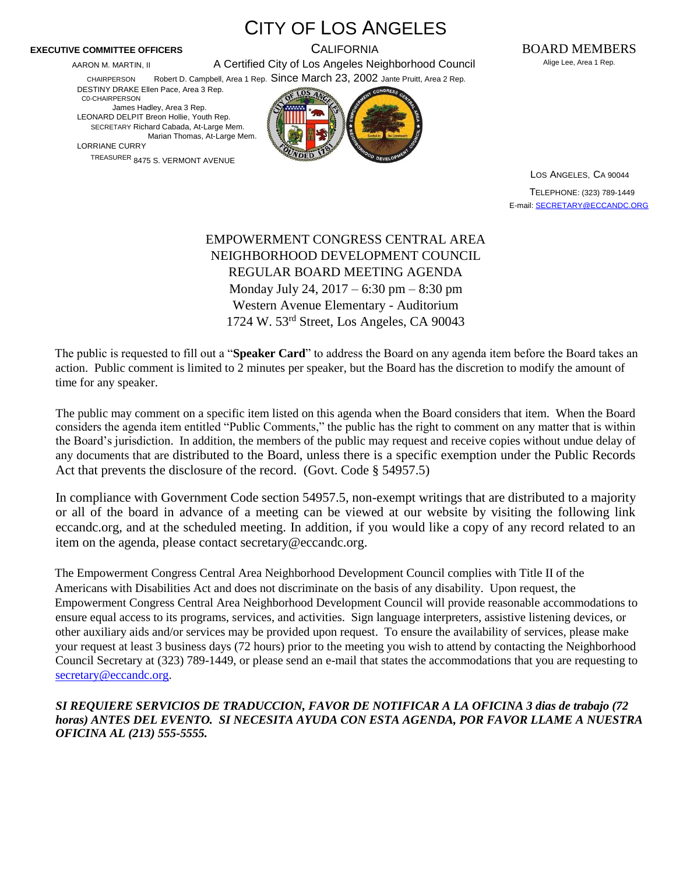AARON M. MARTIN, II **And A Certified City of Los Angeles Neighborhood Council** Alige Lee, Area 1 Rep. CHAIRPERSON Robert D. Campbell, Area 1 Rep. Since March 23, 2002 Jante Pruitt, Area 2 Rep.

CITY OF LOS ANGELES

DESTINY DRAKE Ellen Pace, Area 3 Rep. C0-CHAIRPERSON

James Hadley, Area 3 Rep. LEONARD DELPIT Breon Hollie, Youth Rep. SECRETARY Richard Cabada, At-Large Mem. Marian Thomas, At-Large Mem.

LORRIANE CURRY TREASURER 8475 S. VERMONT AVENUE



**EXECUTIVE COMMITTEE OFFICERS** CALIFORNIA BOARD MEMBERS

LOS ANGELES, CA 90044 TELEPHONE: (323) 789-1449 E-mail: SECRETARY@ECCANDC.ORG

## EMPOWERMENT CONGRESS CENTRAL AREA NEIGHBORHOOD DEVELOPMENT COUNCIL REGULAR BOARD MEETING AGENDA Monday July 24, 2017 – 6:30 pm – 8:30 pm Western Avenue Elementary - Auditorium 1724 W. 53rd Street, Los Angeles, CA 90043

The public is requested to fill out a "**Speaker Card**" to address the Board on any agenda item before the Board takes an action. Public comment is limited to 2 minutes per speaker, but the Board has the discretion to modify the amount of time for any speaker.

The public may comment on a specific item listed on this agenda when the Board considers that item. When the Board considers the agenda item entitled "Public Comments," the public has the right to comment on any matter that is within the Board's jurisdiction. In addition, the members of the public may request and receive copies without undue delay of any documents that are distributed to the Board, unless there is a specific exemption under the Public Records Act that prevents the disclosure of the record. (Govt. Code § 54957.5)

In compliance with Government Code section 54957.5, non-exempt writings that are distributed to a majority or all of the board in advance of a meeting can be viewed at our website by visiting the following link eccandc.org, and at the scheduled meeting. In addition, if you would like a copy of any record related to an item on the agenda, please contact secretary@eccandc.org.

The Empowerment Congress Central Area Neighborhood Development Council complies with Title II of the Americans with Disabilities Act and does not discriminate on the basis of any disability. Upon request, the Empowerment Congress Central Area Neighborhood Development Council will provide reasonable accommodations to ensure equal access to its programs, services, and activities. Sign language interpreters, assistive listening devices, or other auxiliary aids and/or services may be provided upon request. To ensure the availability of services, please make your request at least 3 business days (72 hours) prior to the meeting you wish to attend by contacting the Neighborhood Council Secretary at (323) 789-1449, or please send an e-mail that states the accommodations that you are requesting to secretary@eccandc.org.

*SI REQUIERE SERVICIOS DE TRADUCCION, FAVOR DE NOTIFICAR A LA OFICINA 3 dias de trabajo (72 horas) ANTES DEL EVENTO. SI NECESITA AYUDA CON ESTA AGENDA, POR FAVOR LLAME A NUESTRA OFICINA AL (213) 555-5555.*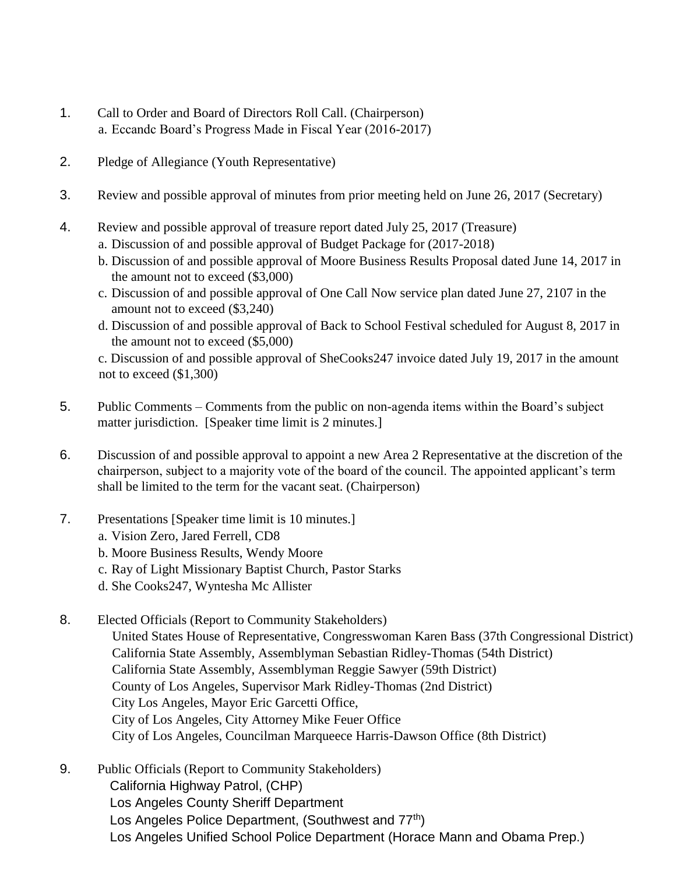- 1. Call to Order and Board of Directors Roll Call. (Chairperson) a. Eccandc Board's Progress Made in Fiscal Year (2016-2017)
- 2. Pledge of Allegiance (Youth Representative)
- 3. Review and possible approval of minutes from prior meeting held on June 26, 2017 (Secretary)
- 4. Review and possible approval of treasure report dated July 25, 2017 (Treasure)
	- a. Discussion of and possible approval of Budget Package for (2017-2018)
	- b. Discussion of and possible approval of Moore Business Results Proposal dated June 14, 2017 in the amount not to exceed (\$3,000)
	- c. Discussion of and possible approval of One Call Now service plan dated June 27, 2107 in the amount not to exceed (\$3,240)
	- d. Discussion of and possible approval of Back to School Festival scheduled for August 8, 2017 in the amount not to exceed (\$5,000)

c. Discussion of and possible approval of SheCooks247 invoice dated July 19, 2017 in the amount not to exceed (\$1,300)

- 5. Public Comments Comments from the public on non-agenda items within the Board's subject matter jurisdiction. [Speaker time limit is 2 minutes.]
- 6. Discussion of and possible approval to appoint a new Area 2 Representative at the discretion of the chairperson, subject to a majority vote of the board of the council. The appointed applicant's term shall be limited to the term for the vacant seat. (Chairperson)
- 7. Presentations [Speaker time limit is 10 minutes.]
	- a. Vision Zero, Jared Ferrell, CD8
	- b. Moore Business Results, Wendy Moore
	- c. Ray of Light Missionary Baptist Church, Pastor Starks
	- d. She Cooks247, Wyntesha Mc Allister
- 8. Elected Officials (Report to Community Stakeholders)
	- United States House of Representative, Congresswoman Karen Bass (37th Congressional District) California State Assembly, Assemblyman Sebastian Ridley-Thomas (54th District) California State Assembly, Assemblyman Reggie Sawyer (59th District) County of Los Angeles, Supervisor Mark Ridley-Thomas (2nd District) City Los Angeles, Mayor Eric Garcetti Office, City of Los Angeles, City Attorney Mike Feuer Office City of Los Angeles, Councilman Marqueece Harris-Dawson Office (8th District)
- 9. Public Officials (Report to Community Stakeholders) California Highway Patrol, (CHP) Los Angeles County Sheriff Department Los Angeles Police Department, (Southwest and 77<sup>th</sup>) Los Angeles Unified School Police Department (Horace Mann and Obama Prep.)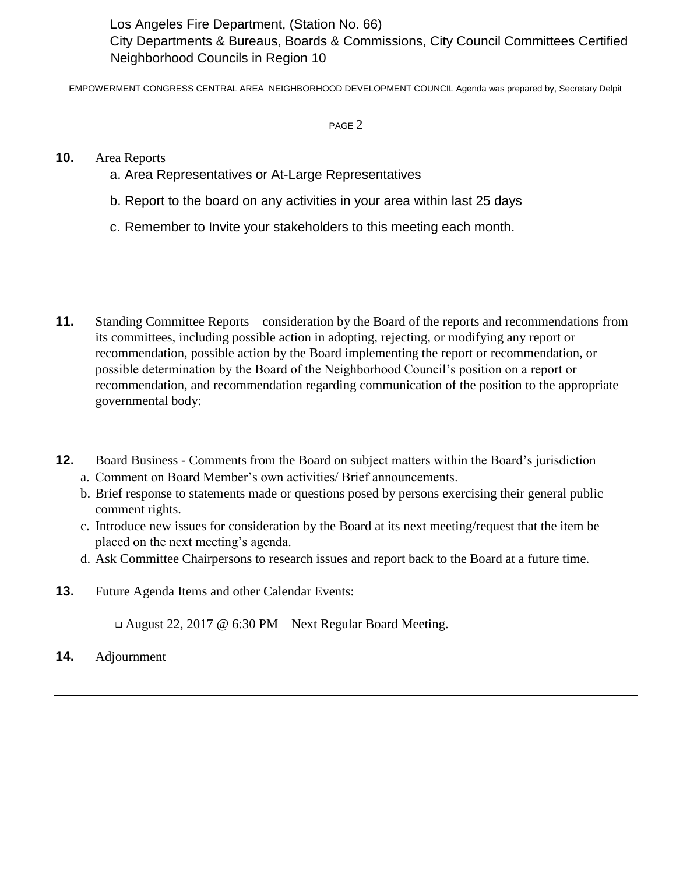Los Angeles Fire Department, (Station No. 66) City Departments & Bureaus, Boards & Commissions, City Council Committees Certified Neighborhood Councils in Region 10

EMPOWERMENT CONGRESS CENTRAL AREA NEIGHBORHOOD DEVELOPMENT COUNCIL Agenda was prepared by, Secretary Delpit

PAGE 2

## **10.** Area Reports

- a. Area Representatives or At-Large Representatives
- b. Report to the board on any activities in your area within last 25 days
- c. Remember to Invite your stakeholders to this meeting each month.
- 11. Standing Committee Reports consideration by the Board of the reports and recommendations from its committees, including possible action in adopting, rejecting, or modifying any report or recommendation, possible action by the Board implementing the report or recommendation, or possible determination by the Board of the Neighborhood Council's position on a report or recommendation, and recommendation regarding communication of the position to the appropriate governmental body:
- **12.** Board Business Comments from the Board on subject matters within the Board's jurisdiction a. Comment on Board Member's own activities/ Brief announcements.
	- b. Brief response to statements made or questions posed by persons exercising their general public comment rights.
	- c. Introduce new issues for consideration by the Board at its next meeting/request that the item be placed on the next meeting's agenda.
	- d. Ask Committee Chairpersons to research issues and report back to the Board at a future time.
- **13.** Future Agenda Items and other Calendar Events:

August 22, 2017 @ 6:30 PM—Next Regular Board Meeting.

**14.** Adjournment